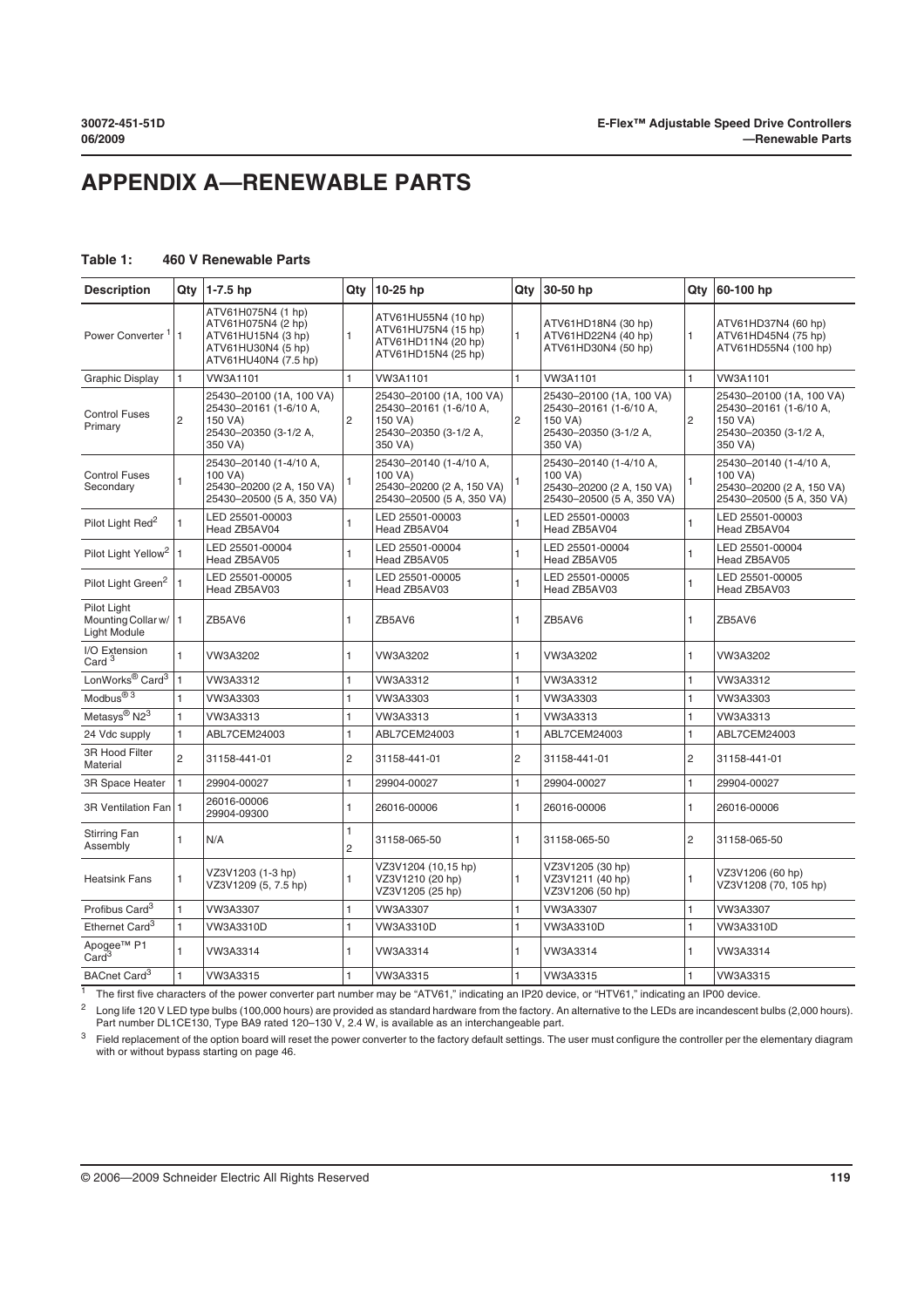## **APPENDIX A—RENEWABLE PARTS**

## **Table 1: 460 V Renewable Parts**

| <b>Description</b>                                  |                | Qty 1-7.5 hp                                                                                                 | Qty                 | 10-25 hp                                                                                          | Qtv            | 30-50 hp                                                                                          | Qty            | 60-100 hp                                                                                         |
|-----------------------------------------------------|----------------|--------------------------------------------------------------------------------------------------------------|---------------------|---------------------------------------------------------------------------------------------------|----------------|---------------------------------------------------------------------------------------------------|----------------|---------------------------------------------------------------------------------------------------|
| Power Converter <sup>1</sup>                        | I1             | ATV61H075N4 (1 hp)<br>ATV61H075N4 (2 hp)<br>ATV61HU15N4 (3 hp)<br>ATV61HU30N4 (5 hp)<br>ATV61HU40N4 (7.5 hp) | $\mathbf{1}$        | ATV61HU55N4 (10 hp)<br>ATV61HU75N4 (15 hp)<br>ATV61HD11N4 (20 hp)<br>ATV61HD15N4 (25 hp)          | 1              | ATV61HD18N4 (30 hp)<br>ATV61HD22N4 (40 hp)<br>ATV61HD30N4 (50 hp)                                 | $\mathbf{1}$   | ATV61HD37N4 (60 hp)<br>ATV61HD45N4 (75 hp)<br>ATV61HD55N4 (100 hp)                                |
| <b>Graphic Display</b>                              | 1              | VW3A1101                                                                                                     | $\mathbf{1}$        | VW3A1101                                                                                          | 1              | VW3A1101                                                                                          | $\mathbf{1}$   | VW3A1101                                                                                          |
| <b>Control Fuses</b><br>Primary                     | $\overline{2}$ | 25430-20100 (1A, 100 VA)<br>25430-20161 (1-6/10 A,<br>150 VA)<br>25430-20350 (3-1/2 A,<br>350 VA)            | $\overline{2}$      | 25430-20100 (1A, 100 VA)<br>25430-20161 (1-6/10 A,<br>150 VA)<br>25430-20350 (3-1/2 A,<br>350 VA) | $\overline{2}$ | 25430-20100 (1A, 100 VA)<br>25430-20161 (1-6/10 A,<br>150 VA)<br>25430-20350 (3-1/2 A,<br>350 VA) | $\overline{2}$ | 25430-20100 (1A, 100 VA)<br>25430-20161 (1-6/10 A,<br>150 VA)<br>25430-20350 (3-1/2 A,<br>350 VA) |
| <b>Control Fuses</b><br>Secondary                   | 1              | 25430-20140 (1-4/10 A,<br>100 VA)<br>25430-20200 (2 A, 150 VA)<br>25430-20500 (5 A, 350 VA)                  | 1                   | 25430-20140 (1-4/10 A,<br>100 VA)<br>25430-20200 (2 A, 150 VA)<br>25430-20500 (5 A, 350 VA)       |                | 25430-20140 (1-4/10 A,<br>100 VA)<br>25430-20200 (2 A, 150 VA)<br>25430-20500 (5 A, 350 VA)       |                | 25430-20140 (1-4/10 A,<br>100 VA)<br>25430-20200 (2 A, 150 VA)<br>25430-20500 (5 A, 350 VA)       |
| Pilot Light Red <sup>2</sup>                        | 1              | LED 25501-00003<br>Head ZB5AV04                                                                              | $\mathbf{1}$        | LED 25501-00003<br>Head ZB5AV04                                                                   | 1              | LED 25501-00003<br>Head ZB5AV04                                                                   | $\mathbf{1}$   | LED 25501-00003<br>Head ZB5AV04                                                                   |
| Pilot Light Yellow <sup>2</sup>                     | l 1            | LED 25501-00004<br>Head ZB5AV05                                                                              | $\mathbf{1}$        | LED 25501-00004<br>Head ZB5AV05                                                                   | 1              | LED 25501-00004<br>Head ZB5AV05                                                                   | $\mathbf{1}$   | LED 25501-00004<br>Head ZB5AV05                                                                   |
| Pilot Light Green <sup>2</sup>                      |                | LED 25501-00005<br>Head ZB5AV03                                                                              | 1                   | LED 25501-00005<br>Head ZB5AV03                                                                   | 1              | LED 25501-00005<br>Head ZB5AV03                                                                   | $\mathbf{1}$   | LED 25501-00005<br>Head ZB5AV03                                                                   |
| Pilot Light<br>Mounting Collar w/ 1<br>Light Module |                | ZB5AV6                                                                                                       | $\mathbf{1}$        | ZB5AV6                                                                                            | 1              | ZB5AV6                                                                                            | $\mathbf{1}$   | ZB5AV6                                                                                            |
| I/O Extension<br>Card <sup>3</sup>                  | $\mathbf{1}$   | VW3A3202                                                                                                     | $\mathbf{1}$        | VW3A3202                                                                                          | 1              | VW3A3202                                                                                          | $\mathbf{1}$   | VW3A3202                                                                                          |
| LonWorks <sup>®</sup> Card <sup>3</sup>             | $\mathbf{1}$   | VW3A3312                                                                                                     | 1                   | VW3A3312                                                                                          | 1              | VW3A3312                                                                                          | 1              | VW3A3312                                                                                          |
| Modbus <sup>® 3</sup>                               | 1              | VW3A3303                                                                                                     | 1                   | VW3A3303                                                                                          | 1              | VW3A3303                                                                                          | 1              | VW3A3303                                                                                          |
| Metasys <sup>®</sup> N2 <sup>3</sup>                | 1              | VW3A3313                                                                                                     | 1                   | VW3A3313                                                                                          | 1              | VW3A3313                                                                                          | 1              | VW3A3313                                                                                          |
| 24 Vdc supply                                       | $\mathbf{1}$   | ABL7CEM24003                                                                                                 | $\mathbf{1}$        | ABL7CEM24003                                                                                      | 1              | ABL7CEM24003                                                                                      | $\mathbf{1}$   | ABL7CEM24003                                                                                      |
| 3R Hood Filter<br>Material                          | $\overline{2}$ | 31158-441-01                                                                                                 | $\overline{c}$      | 31158-441-01                                                                                      | $\overline{c}$ | 31158-441-01                                                                                      | $\overline{2}$ | 31158-441-01                                                                                      |
| <b>3R Space Heater</b>                              | $\mathbf{1}$   | 29904-00027                                                                                                  | 1                   | 29904-00027                                                                                       | 1              | 29904-00027                                                                                       | $\mathbf{1}$   | 29904-00027                                                                                       |
| 3R Ventilation Fan   1                              |                | 26016-00006<br>29904-09300                                                                                   | $\mathbf{1}$        | 26016-00006                                                                                       | 1              | 26016-00006                                                                                       | $\mathbf{1}$   | 26016-00006                                                                                       |
| <b>Stirring Fan</b><br>Assembly                     | 1              | N/A                                                                                                          | 1<br>$\overline{c}$ | 31158-065-50                                                                                      | 1              | 31158-065-50                                                                                      | $\overline{c}$ | 31158-065-50                                                                                      |
| <b>Heatsink Fans</b>                                | 1              | VZ3V1203 (1-3 hp)<br>VZ3V1209 (5, 7.5 hp)                                                                    | $\mathbf{1}$        | VZ3V1204 (10,15 hp)<br>VZ3V1210 (20 hp)<br>VZ3V1205 (25 hp)                                       | 1              | VZ3V1205 (30 hp)<br>VZ3V1211 (40 hp)<br>VZ3V1206 (50 hp)                                          | $\mathbf{1}$   | VZ3V1206 (60 hp)<br>VZ3V1208 (70, 105 hp)                                                         |
| Profibus Card <sup>3</sup>                          | 1              | VW3A3307                                                                                                     | $\mathbf{1}$        | VW3A3307                                                                                          | $\mathbf{1}$   | VW3A3307                                                                                          | $\mathbf{1}$   | VW3A3307                                                                                          |
| Ethernet Card <sup>3</sup>                          | 1              | VW3A3310D                                                                                                    | 1                   | VW3A3310D                                                                                         | 1              | VW3A3310D                                                                                         | $\mathbf{1}$   | VW3A3310D                                                                                         |
| Apogee <sup>™</sup> P1<br>Card <sup>3</sup>         | 1              | VW3A3314                                                                                                     | $\mathbf{1}$        | VW3A3314                                                                                          | 1              | VW3A3314                                                                                          | 1              | VW3A3314                                                                                          |
| BACnet Card <sup>3</sup>                            | $\mathbf{1}$   | VW3A3315                                                                                                     | $\mathbf{1}$        | VW3A3315                                                                                          | 1              | VW3A3315                                                                                          | $\mathbf{1}$   | VW3A3315                                                                                          |

 $\frac{1}{1}$  The first five characters of the power converter part number may be "ATV61," indicating an IP20 device. or "HTV61," indicating an IP00 device.

<sup>2</sup> Long life 120 V LED type bulbs (100,000 hours) are provided as standard hardware from the factory. An alternative to the LEDs are incandescent bulbs (2,000 hours).<br>Part number DL1CE130, Type BA9 rated 120–130 V, 2.4 W

<sup>3</sup> Field replacement of the option board will reset the power converter to the factory default settings. The user must configure the controller per the elementary diagram with or without bypass starting on page 46.